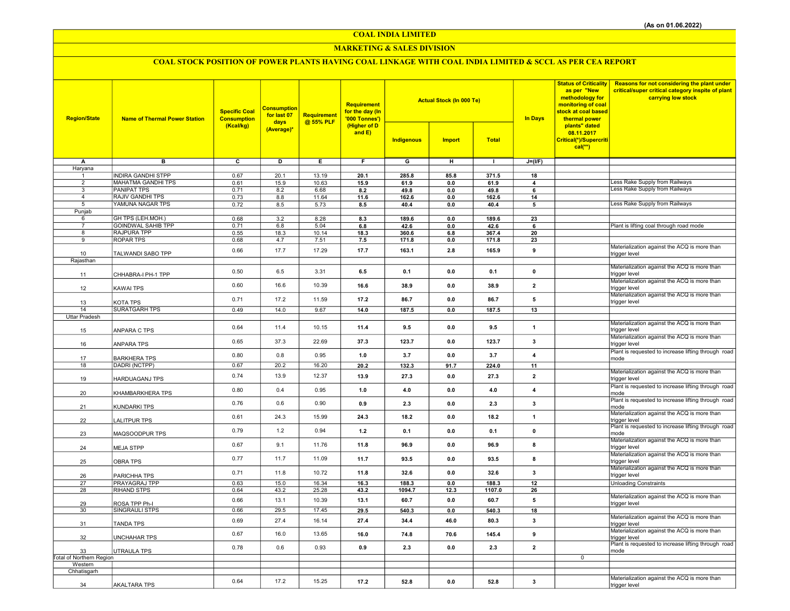COAL INDIA LIMITED

### MARKETING & SALES DIVISION

# COAL STOCK POSITION OF POWER PLANTS HAVING COAL LINKAGE WITH COAL INDIA LIMITED & SCCL AS PER CEA REPORT

| <b>Region/State</b>                 | <b>Name of Thermal Power Station</b> | <b>Specific Coal</b><br><b>Consumption</b><br>(Kcal/kg) | <b>Consumption</b><br>for last 07<br>days | Requirement<br>@ 55% PLF | Requirement<br>for the day (In<br>'000 Tonnes')<br>(Higher of D<br>and $E$ ) |                         | <b>Actual Stock (In 000 Te)</b> |              | <b>In Days</b>          | <b>Status of Criticality</b><br>as per "New<br>methodology for<br>monitoring of coal<br>stock at coal based<br>thermal power | <b>Reasons for not considering the plant under</b><br>critical/super critical category inspite of plant<br>carrying low stock |
|-------------------------------------|--------------------------------------|---------------------------------------------------------|-------------------------------------------|--------------------------|------------------------------------------------------------------------------|-------------------------|---------------------------------|--------------|-------------------------|------------------------------------------------------------------------------------------------------------------------------|-------------------------------------------------------------------------------------------------------------------------------|
|                                     |                                      |                                                         | (Average)*                                |                          |                                                                              | Indigenous              | <b>Import</b>                   | <b>Total</b> |                         | plants" dated<br>08.11.2017<br>Critical(*)/Supercriti<br>$cal(**)$                                                           |                                                                                                                               |
| A                                   | $\overline{B}$                       | $\overline{\mathbf{c}}$                                 | ъ                                         | Έ                        | F                                                                            | $\overline{\mathsf{G}}$ | $\overline{H}$                  | $\mathbf{L}$ | $J=(I/F)$               |                                                                                                                              |                                                                                                                               |
| Haryana<br>$\mathbf{1}$             | <b>INDIRA GANDHI STPP</b>            | 0.67                                                    | 20.1                                      | 13.19                    | 20.1                                                                         | 285.8                   | 85.8                            | 371.5        | 18                      |                                                                                                                              |                                                                                                                               |
| $\overline{2}$                      | MAHATMA GANDHI TPS                   | 0.61                                                    | 15.9                                      | 10.63                    | 15.9                                                                         | 61.9                    | 0.0                             | 61.9         | $\overline{\mathbf{4}}$ |                                                                                                                              | ess Rake Supply from Railways                                                                                                 |
| 3                                   | <b>PANIPAT TPS</b>                   | 0.71                                                    | 8.2                                       | 6.68                     | 8.2                                                                          | 49.8                    | 0.0                             | 49.8         | 6                       |                                                                                                                              | Less Rake Supply from Railways                                                                                                |
| $\overline{4}$                      | <b>RAJIV GANDHI TPS</b>              | 0.73                                                    | 8.8                                       | 11.64                    | 11.6                                                                         | 162.6                   | $0.0\,$                         | 162.6        | 14                      |                                                                                                                              |                                                                                                                               |
| 5<br>Punjab                         | YAMUNA NAGAR TPS                     | 0.72                                                    | 8.5                                       | 5.73                     | 8.5                                                                          | 40.4                    | 0.0                             | 40.4         | 5                       |                                                                                                                              | Less Rake Supply from Railways                                                                                                |
| 6                                   | GH TPS (LEH.MOH.)                    | 0.68                                                    | 3.2                                       | 8.28                     | 8.3                                                                          | 189.6                   | 0.0                             | 189.6        | 23                      |                                                                                                                              |                                                                                                                               |
| $\overline{7}$                      | <b>GOINDWAL SAHIB TPP</b>            | 0.71                                                    | 6.8                                       | 5.04                     | 6.8                                                                          | 42.6                    | 0.0                             | 42.6         | 6                       |                                                                                                                              | Plant is lifting coal through road mode                                                                                       |
| 8                                   | <b>RAJPURA TPP</b>                   | 0.55                                                    | 18.3                                      | 10.14                    | 18.3                                                                         | 360.6                   | 6.8                             | 367.4        | 20                      |                                                                                                                              |                                                                                                                               |
| 9                                   | <b>ROPAR TPS</b>                     | 0.68                                                    | 4.7                                       | 7.51                     | 7.5                                                                          | 171.8                   | 0.0                             | 171.8        | 23                      |                                                                                                                              | Materialization against the ACQ is more than                                                                                  |
| 10                                  | TALWANDI SABO TPP                    | 0.66                                                    | 17.7                                      | 17.29                    | 17.7                                                                         | 163.1                   | 2.8                             | 165.9        | 9                       |                                                                                                                              | trigger level                                                                                                                 |
| Rajasthan                           |                                      |                                                         |                                           |                          |                                                                              |                         |                                 |              |                         |                                                                                                                              |                                                                                                                               |
| 11                                  | CHHABRA-I PH-1 TPP                   | 0.50                                                    | 6.5                                       | 3.31                     | 6.5                                                                          | 0.1                     | 0.0                             | 0.1          | $\pmb{0}$               |                                                                                                                              | Materialization against the ACQ is more than<br>trigger level                                                                 |
|                                     |                                      |                                                         |                                           |                          |                                                                              |                         |                                 |              |                         |                                                                                                                              | Materialization against the ACQ is more than                                                                                  |
| 12                                  | KAWAI TPS                            | 0.60                                                    | 16.6                                      | 10.39                    | 16.6                                                                         | 38.9                    | 0.0                             | 38.9         | $\overline{2}$          |                                                                                                                              | trigger level                                                                                                                 |
|                                     |                                      | 0.71                                                    | 17.2                                      | 11.59                    | 17.2                                                                         | 86.7                    | 0.0                             | 86.7         | 5                       |                                                                                                                              | Materialization against the ACQ is more than                                                                                  |
| 13<br>14                            | KOTA TPS<br><b>SURATGARH TPS</b>     | 0.49                                                    | 14.0                                      | 9.67                     | 14.0                                                                         | 187.5                   | 0.0                             | 187.5        | 13                      |                                                                                                                              | trigger level                                                                                                                 |
| Uttar Pradesh                       |                                      |                                                         |                                           |                          |                                                                              |                         |                                 |              |                         |                                                                                                                              |                                                                                                                               |
| 15                                  | ANPARA C TPS                         | 0.64                                                    | 11.4                                      | 10.15                    | 11.4                                                                         | 9.5                     | 0.0                             | 9.5          | $\mathbf{1}$            |                                                                                                                              | Materialization against the ACQ is more than<br>trigger level                                                                 |
| 16                                  | ANPARA TPS                           | 0.65                                                    | 37.3                                      | 22.69                    | 37.3                                                                         | 123.7                   | 0.0                             | 123.7        | 3                       |                                                                                                                              | Materialization against the ACQ is more than<br>trigger level                                                                 |
| 17                                  | <b>BARKHERA TPS</b>                  | 0.80                                                    | 0.8                                       | 0.95                     | 1.0                                                                          | 3.7                     | 0.0                             | 3.7          | $\overline{4}$          |                                                                                                                              | Plant is requested to increase lifting through road<br>mode                                                                   |
| 18                                  | DADRI (NCTPP)                        | 0.67                                                    | 20.2                                      | 16.20                    | 20.2                                                                         | 132.3                   | 91.7                            | 224.0        | 11                      |                                                                                                                              |                                                                                                                               |
| 19                                  | HARDUAGANJ TPS                       | 0.74                                                    | 13.9                                      | 12.37                    | 13.9                                                                         | 27.3                    | 0.0                             | 27.3         | $\overline{2}$          |                                                                                                                              | Materialization against the ACQ is more than<br>trigger level                                                                 |
| 20                                  | KHAMBARKHERA TPS                     | 0.80                                                    | 0.4                                       | 0.95                     | 1.0                                                                          | 4.0                     | 0.0                             | $4.0$        | $\overline{\mathbf{4}}$ |                                                                                                                              | Plant is requested to increase lifting through road<br>mode                                                                   |
| 21                                  | KUNDARKI TPS                         | 0.76                                                    | 0.6                                       | 0.90                     | 0.9                                                                          | 2.3                     | 0.0                             | 2.3          | 3                       |                                                                                                                              | Plant is requested to increase lifting through road<br>mode                                                                   |
| 22                                  | LALITPUR TPS                         | 0.61                                                    | 24.3                                      | 15.99                    | 24.3                                                                         | 18.2                    | 0.0                             | 18.2         | $\mathbf{1}$            |                                                                                                                              | Materialization against the ACQ is more than<br>trigger level                                                                 |
| 23                                  | MAQSOODPUR TPS                       | 0.79                                                    | 1.2                                       | 0.94                     | 1.2                                                                          | 0.1                     | 0.0                             | 0.1          | $\mathbf 0$             |                                                                                                                              | Plant is requested to increase lifting through road<br>mode                                                                   |
| 24                                  | <b>MEJA STPP</b>                     | 0.67                                                    | 9.1                                       | 11.76                    | 11.8                                                                         | 96.9                    | 0.0                             | 96.9         | 8                       |                                                                                                                              | Materialization against the ACQ is more than<br>trigger level                                                                 |
| 25                                  | <b>OBRA TPS</b>                      | 0.77                                                    | 11.7                                      | 11.09                    | 11.7                                                                         | 93.5                    | 0.0                             | 93.5         | 8                       |                                                                                                                              | Materialization against the ACQ is more than<br>trigger level                                                                 |
| 26                                  | PARICHHA TPS                         | 0.71                                                    | 11.8                                      | 10.72                    | 11.8                                                                         | 32.6                    | 0.0                             | 32.6         | 3                       |                                                                                                                              | Materialization against the ACQ is more than<br>trigger level                                                                 |
| 27                                  | PRAYAGRAJ TPP                        | 0.63                                                    | 15.0                                      | 16.34                    | 16.3                                                                         | 188.3                   | 0.0                             | 188.3        | 12                      |                                                                                                                              | <b>Unloading Constraints</b>                                                                                                  |
| 28                                  | <b>RIHAND STPS</b>                   | 0.64                                                    | 43.2                                      | 25.28                    | 43.2                                                                         | 1094.7                  | 12.3                            | 1107.0       | 26                      |                                                                                                                              | Materialization against the ACQ is more than                                                                                  |
| 29                                  | ROSA TPP Ph-I                        | 0.66                                                    | 13.1                                      | 10.39                    | 13.1                                                                         | 60.7                    | 0.0                             | 60.7         | 5                       |                                                                                                                              | trigger level                                                                                                                 |
| 30                                  | SINGRAULI STPS                       | 0.66                                                    | 29.5                                      | 17.45                    | 29.5                                                                         | 540.3                   | 0.0                             | 540.3        | 18                      |                                                                                                                              |                                                                                                                               |
| 31                                  | TANDA TPS                            | 0.69                                                    | 27.4                                      | 16.14                    | 27.4                                                                         | 34.4                    | 46.0                            | 80.3         | 3                       |                                                                                                                              | Materialization against the ACQ is more than<br>trigger level                                                                 |
| 32                                  | <b>UNCHAHAR TPS</b>                  | 0.67                                                    | 16.0                                      | 13.65                    | 16.0                                                                         | 74.8                    | 70.6                            | 145.4        | 9                       |                                                                                                                              | Materialization against the ACQ is more than<br>trigger level                                                                 |
| 33                                  | UTRAULA TPS                          | 0.78                                                    | 0.6                                       | 0.93                     | 0.9                                                                          | 2.3                     | 0.0                             | 2.3          | $\overline{2}$          |                                                                                                                              | Plant is requested to increase lifting through road<br>mode                                                                   |
| Total of Northern Region<br>Western |                                      |                                                         |                                           |                          |                                                                              |                         |                                 |              |                         | $\mathbf 0$                                                                                                                  |                                                                                                                               |
| Chhatisgarh                         |                                      |                                                         |                                           |                          |                                                                              |                         |                                 |              |                         |                                                                                                                              |                                                                                                                               |
|                                     |                                      | 0.64                                                    | 17.2                                      | 15.25                    | 17.2                                                                         | 52.8                    | 0.0                             | 52.8         | 3                       |                                                                                                                              | Materialization against the ACQ is more than                                                                                  |
| 34                                  | <b>AKALTARA TPS</b>                  |                                                         |                                           |                          |                                                                              |                         |                                 |              |                         |                                                                                                                              | trigger level                                                                                                                 |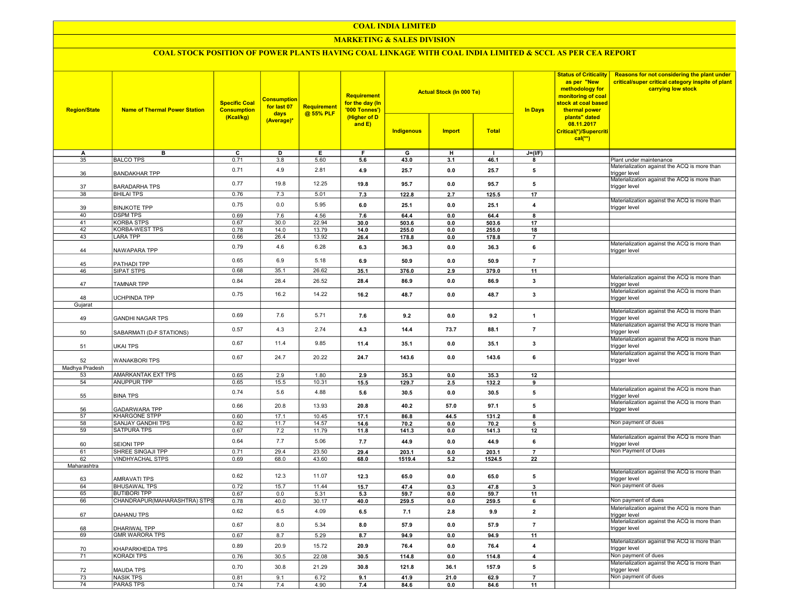### COAL INDIA LIMITED

### MARKETING & SALES DIVISION

## COAL STOCK POSITION OF POWER PLANTS HAVING COAL LINKAGE WITH COAL INDIA LIMITED & SCCL AS PER CEA REPORT

| <b>Region/State</b> | <b>Name of Thermal Power Station</b>             | <b>Specific Coal</b><br><b>Consumption</b> | <b>Consumption</b><br>for last 07 | <b>Requirement</b> | <b>Requirement</b><br>for the day (In<br>'000 Tonnes') |                | <b>Actual Stock (In 000 Te)</b> |                | <b>Status of Criticality</b><br>as per "New<br>methodology for<br>monitoring of coal<br>stock at coal based<br><b>In Days</b><br>thermal power | Reasons for not considering the plant under<br>critical/super critical category inspite of plant<br>carrying low stock |                                                                     |
|---------------------|--------------------------------------------------|--------------------------------------------|-----------------------------------|--------------------|--------------------------------------------------------|----------------|---------------------------------|----------------|------------------------------------------------------------------------------------------------------------------------------------------------|------------------------------------------------------------------------------------------------------------------------|---------------------------------------------------------------------|
|                     |                                                  | (Kcal/kg)                                  | days<br>(Average)*                | @ 55% PLF          | (Higher of D<br>and E)                                 | Indigenous     | <b>Import</b>                   | <b>Total</b>   |                                                                                                                                                | plants" dated<br>08.11.2017<br>Critical(*)/Supercriti<br>$cal$ (**)                                                    |                                                                     |
| A                   | в                                                | ᢎ                                          | D                                 | Е.                 | F                                                      | G              | н                               | п              | $J=(I/F)$                                                                                                                                      |                                                                                                                        |                                                                     |
| 35                  | <b>BALCO TPS</b>                                 | 0.71                                       | 3.8                               | 5.60               | 5.6                                                    | 43.0           | 3.1                             | 46.1           | $\mathbf{a}$                                                                                                                                   |                                                                                                                        | Plant under maintenance                                             |
| 36                  | <b>BANDAKHAR TPP</b>                             | 0.71                                       | 4.9                               | 2.81               | 4.9                                                    | 25.7           | 0.0                             | 25.7           | 5                                                                                                                                              |                                                                                                                        | Materialization against the ACQ is more than<br>trigger level       |
| 37                  | <b>BARADARHA TPS</b>                             | 0.77                                       | 19.8                              | 12.25              | 19.8                                                   | 95.7           | 0.0                             | 95.7           | 5                                                                                                                                              |                                                                                                                        | Materialization against the ACQ is more than<br>trigger level       |
| 38                  | <b>BHILAI TPS</b>                                | 0.76                                       | 7.3                               | 5.01               | 7.3                                                    | 122.8          | 2.7                             | 125.5          | 17                                                                                                                                             |                                                                                                                        | Materialization against the ACQ is more than                        |
| 39                  | <b>BINJKOTE TPP</b>                              | 0.75                                       | 0.0                               | 5.95               | 6.0                                                    | 25.1           | 0.0                             | 25.1           | $\overline{4}$                                                                                                                                 |                                                                                                                        | trigger level                                                       |
| 40<br>41            | <b>DSPM TPS</b><br><b>KORBA STPS</b>             | 0.69                                       | 7.6                               | 4.56               | 7.6                                                    | 64.4           | 0.0                             | 64.4           | 8                                                                                                                                              |                                                                                                                        |                                                                     |
| 42                  | <b>KORBA-WEST TPS</b>                            | 0.67<br>0.78                               | 30.0<br>14.0                      | 22.94<br>13.79     | 30.0<br>14.0                                           | 503.6<br>255.0 | 0.0<br>0.0                      | 503.6<br>255.0 | 17<br>18                                                                                                                                       |                                                                                                                        |                                                                     |
| 43                  | <b>LARA TPP</b>                                  | 0.66                                       | 26.4                              | 13.92              | 26.4                                                   | 178.8          | 0.0                             | 178.8          | $\overline{7}$                                                                                                                                 |                                                                                                                        |                                                                     |
| 44                  | NAWAPARA TPP                                     | 0.79                                       | 4.6                               | 6.28               | 6.3                                                    | 36.3           | 0.0                             | 36.3           | 6                                                                                                                                              |                                                                                                                        | Materialization against the ACQ is more than<br>trigger level       |
| 45                  | PATHADI TPP                                      | 0.65                                       | 6.9                               | 5.18               | 6.9                                                    | 50.9           | 0.0                             | 50.9           | $\overline{7}$                                                                                                                                 |                                                                                                                        |                                                                     |
| 46                  | SIPAT STPS                                       | 0.68                                       | 35.1                              | 26.62              | 35.1                                                   | 376.0          | 2.9                             | 379.0          | 11                                                                                                                                             |                                                                                                                        |                                                                     |
| 47                  | <b>TAMNAR TPP</b>                                | 0.84                                       | 28.4                              | 26.52              | 28.4                                                   | 86.9           | 0.0                             | 86.9           | 3                                                                                                                                              |                                                                                                                        | Materialization against the ACQ is more than<br>trigger level       |
| 48                  | <b>UCHPINDA TPP</b>                              | 0.75                                       | 16.2                              | 14.22              | 16.2                                                   | 48.7           | 0.0                             | 48.7           | 3                                                                                                                                              |                                                                                                                        | Materialization against the ACQ is more than<br>trigger level       |
| Gujarat             |                                                  |                                            |                                   |                    |                                                        |                |                                 |                |                                                                                                                                                |                                                                                                                        |                                                                     |
| 49                  | <b>GANDHI NAGAR TPS</b>                          | 0.69                                       | 7.6                               | 5.71               | 7.6                                                    | 9.2            | 0.0                             | 9.2            | $\mathbf{1}$                                                                                                                                   |                                                                                                                        | Materialization against the ACQ is more than<br>rigger level        |
| 50                  | SABARMATI (D-F STATIONS)                         | 0.57                                       | 4.3                               | 2.74               | 4.3                                                    | 14.4           | 73.7                            | 88.1           | $\overline{7}$                                                                                                                                 |                                                                                                                        | Materialization against the ACQ is more than<br>trigger level       |
| 51                  | <b>UKAI TPS</b>                                  | 0.67                                       | 11.4                              | 9.85               | 11.4                                                   | 35.1           | 0.0                             | 35.1           | 3                                                                                                                                              |                                                                                                                        | Materialization against the ACQ is more than<br>trigger level       |
| 52                  | <b>WANAKBORI TPS</b>                             | 0.67                                       | 24.7                              | 20.22              | 24.7                                                   | 143.6          | 0.0                             | 143.6          | 6                                                                                                                                              |                                                                                                                        | Materialization against the ACQ is more than<br>trigger level       |
| Madhya Pradesh      |                                                  |                                            |                                   |                    |                                                        |                |                                 |                |                                                                                                                                                |                                                                                                                        |                                                                     |
| 53                  | AMARKANTAK EXT TPS                               | 0.65                                       | 2.9                               | 1.80               | 2.9                                                    | 35.3           | 0.0                             | 35.3           | 12                                                                                                                                             |                                                                                                                        |                                                                     |
| 54                  | <b>ANUPPUR TPP</b>                               | 0.65                                       | 15.5                              | 10.31              | 15.5                                                   | 129.7          | 2.5                             | 132.2          | 9                                                                                                                                              |                                                                                                                        |                                                                     |
| 55                  | <b>BINA TPS</b>                                  | 0.74                                       | 5.6                               | 4.88               | 5.6                                                    | 30.5           | 0.0                             | 30.5           | 5                                                                                                                                              |                                                                                                                        | Materialization against the ACQ is more than<br>trigger level       |
| 56                  | <b>GADARWARA TPP</b>                             | 0.66                                       | 20.8                              | 13.93              | 20.8                                                   | 40.2           | 57.0                            | 97.1           | 5                                                                                                                                              |                                                                                                                        | Materialization against the ACQ is more than<br>trigger level       |
| 57<br>58            | <b>KHARGONE STPP</b><br><b>SANJAY GANDHI TPS</b> | 0.60                                       | 17.1                              | 10.45              | 17.1                                                   | 86.8           | 44.5                            | 131.2          | 8                                                                                                                                              |                                                                                                                        | Non payment of dues                                                 |
| 59                  | <b>SATPURA TPS</b>                               | 0.82<br>0.67                               | 11.7<br>7.2                       | 14.57<br>11.79     | 14.6<br>11.8                                           | 70.2<br>141.3  | 0.0<br>0.0                      | 70.2<br>141.3  | 5<br>12                                                                                                                                        |                                                                                                                        |                                                                     |
| 60                  | <b>SEIONI TPP</b>                                | 0.64                                       | 7.7                               | 5.06               | 7.7                                                    | 44.9           | 0.0                             | 44.9           | 6                                                                                                                                              |                                                                                                                        | Materialization against the ACQ is more than<br>trigger level       |
| 61                  | SHREE SINGAJI TPP                                | 0.71                                       | 29.4                              | 23.50              | 29.4                                                   | 203.1          | 0.0                             | 203.1          | $\overline{7}$                                                                                                                                 |                                                                                                                        | Non Payment of Dues                                                 |
| 62                  | <b>VINDHYACHAL STPS</b>                          | 0.69                                       | 68.0                              | 43.60              | 68.0                                                   | 1519.4         | 5.2                             | 1524.5         | 22                                                                                                                                             |                                                                                                                        |                                                                     |
| Maharashtra         |                                                  |                                            |                                   |                    |                                                        |                |                                 |                |                                                                                                                                                |                                                                                                                        |                                                                     |
| 63                  | <b>AMRAVATI TPS</b>                              | 0.62                                       | 12.3                              | 11.07              | 12.3                                                   | 65.0           | 0.0                             | 65.0           | 5                                                                                                                                              |                                                                                                                        | Materialization against the ACQ is more than<br>trigger level       |
| 64                  | <b>BHUSAWAL TPS</b>                              | 0.72                                       | 15.7                              | 11.44              | 15.7                                                   | 47.4           | 0.3                             | 47.8           | $\overline{\mathbf{3}}$                                                                                                                        |                                                                                                                        | Non payment of dues                                                 |
| 65                  | <b>BUTIBORI TPP</b>                              | 0.67                                       | 0.0                               | 5.31               | 5.3                                                    | 59.7           | 0.0                             | 59.7           | 11                                                                                                                                             |                                                                                                                        |                                                                     |
| 66                  | CHANDRAPUR(MAHARASHTRA) STPS                     | 0.78                                       | 40.0                              | 30.17              | 40.0                                                   | 259.5          | 0.0                             | 259.5          | 6                                                                                                                                              |                                                                                                                        | Non payment of dues                                                 |
| 67                  | DAHANU TPS                                       | 0.62                                       | 6.5                               | 4.09               | 6.5                                                    | 7.1            | 2.8                             | 9.9            | $\overline{2}$                                                                                                                                 |                                                                                                                        | Materialization against the ACQ is more than<br>trigger level       |
| 68                  | DHARIWAL TPP                                     | 0.67                                       | 8.0                               | 5.34               | 8.0                                                    | 57.9           | 0.0                             | 57.9           | $\overline{7}$                                                                                                                                 |                                                                                                                        | Materialization against the ACQ is more than<br>trigger level       |
| 69                  | <b>GMR WARORA TPS</b>                            | 0.67<br>0.89                               | 8.7<br>20.9                       | 5.29<br>15.72      | 8.7<br>20.9                                            | 94.9<br>76.4   | 0.0<br>0.0                      | 94.9<br>76.4   | 11<br>$\overline{4}$                                                                                                                           |                                                                                                                        | Materialization against the ACQ is more than                        |
| 70                  | KHAPARKHEDA TPS                                  |                                            |                                   |                    |                                                        |                |                                 |                |                                                                                                                                                |                                                                                                                        | trigger level                                                       |
| 71                  | <b>KORADI TPS</b>                                | 0.76                                       | 30.5<br>30.8                      | 22.08              | 30.5                                                   | 114.8          | 0.0                             | 114.8          | $\overline{4}$                                                                                                                                 |                                                                                                                        | Non payment of dues<br>Materialization against the ACQ is more than |
| 72                  | <b>MAUDA TPS</b>                                 | 0.70                                       |                                   | 21.29              | 30.8                                                   | 121.8          | 36.1                            | 157.9          | 5                                                                                                                                              |                                                                                                                        | trigger level                                                       |
| 73                  | <b>NASIK TPS</b>                                 | 0.81                                       | 9.1                               | 6.72               | 9.1                                                    | 41.9           | 21.0                            | 62.9           | $\overline{7}$                                                                                                                                 |                                                                                                                        | Non payment of dues                                                 |
| 74                  | <b>PARAS TPS</b>                                 | 0.74                                       | 7.4                               | 4.90               | 7.4                                                    | 84.6           | 0.0                             | 84.6           | 11                                                                                                                                             |                                                                                                                        |                                                                     |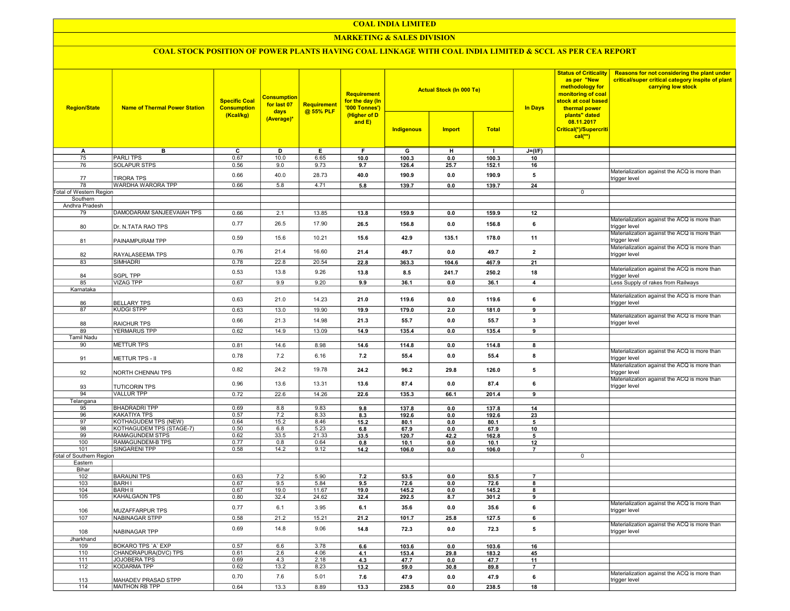## COAL INDIA LIMITED

## **MARKETING & SALES DIVISION**

# COAL STOCK POSITION OF POWER PLANTS HAVING COAL LINKAGE WITH COAL INDIA LIMITED & SCCL AS PER CEA REPORT

| <b>Region/State</b>             | <b>Specific Coal</b><br><b>Name of Thermal Power Station</b><br><b>Consumption</b><br>(Kcal/kg) |              |              |                | <b>Requirement</b><br>for the day (In<br>'000 Tonnes')<br>(Higher of D<br>and E) |                | <b>Actual Stock (In 000 Te)</b> |                | <b>In Days</b>       | <b>Status of Criticality</b><br>as per "New<br>methodology for<br>monitoring of coal<br>stock at coal based<br>thermal power<br>plants" dated<br>08.11.2017 | Reasons for not considering the plant under<br>critical/super critical category inspite of plant<br>carrying low stock |
|---------------------------------|-------------------------------------------------------------------------------------------------|--------------|--------------|----------------|----------------------------------------------------------------------------------|----------------|---------------------------------|----------------|----------------------|-------------------------------------------------------------------------------------------------------------------------------------------------------------|------------------------------------------------------------------------------------------------------------------------|
|                                 |                                                                                                 |              |              |                |                                                                                  | Indigenous     | <b>Import</b>                   | <b>Total</b>   |                      | Critical(*)/Supercriti<br>$cal$ <sup>**</sup> )                                                                                                             |                                                                                                                        |
| Α                               | в                                                                                               | c            | D            | Е              | F                                                                                | G              | н                               | $\mathbf{I}$   | $J=(I/F)$            |                                                                                                                                                             |                                                                                                                        |
| 75                              | <b>PARLITPS</b>                                                                                 | 0.67         | 10.0         | 6.65           | 10.0                                                                             | 100.3          | 0.0                             | 100.3          | 10                   |                                                                                                                                                             |                                                                                                                        |
| 76                              | <b>SOLAPUR STPS</b>                                                                             | 0.56         | 9.0          | 9.73           | 9.7                                                                              | 126.4          | 25.7                            | 152.1          | 16                   |                                                                                                                                                             |                                                                                                                        |
| 77                              | <b>TIRORA TPS</b>                                                                               | 0.66         | 40.0         | 28.73          | 40.0                                                                             | 190.9          | 0.0                             | 190.9          | 5                    |                                                                                                                                                             | Materialization against the ACQ is more than<br>trigger level                                                          |
| 78                              | WARDHA WARORA TPP                                                                               | 0.66         | 5.8          | 4.71           | 5.8                                                                              | 139.7          | 0.0                             | 139.7          | 24                   |                                                                                                                                                             |                                                                                                                        |
| <b>Total of Western Region</b>  |                                                                                                 |              |              |                |                                                                                  |                |                                 |                |                      | $\mathbf 0$                                                                                                                                                 |                                                                                                                        |
| Southern                        |                                                                                                 |              |              |                |                                                                                  |                |                                 |                |                      |                                                                                                                                                             |                                                                                                                        |
| Andhra Pradesh                  |                                                                                                 |              |              |                |                                                                                  |                |                                 |                |                      |                                                                                                                                                             |                                                                                                                        |
| 79                              | DAMODARAM SANJEEVAIAH TPS                                                                       | 0.66         | 2.1          | 13.85          | 13.8                                                                             | 159.9          | 0.0                             | 159.9          | 12                   |                                                                                                                                                             |                                                                                                                        |
| 80                              | Dr. N.TATA RAO TPS                                                                              | 0.77         | 26.5         | 17.90          | 26.5                                                                             | 156.8          | 0.0                             | 156.8          | 6                    |                                                                                                                                                             | Materialization against the ACQ is more than<br>trigger level                                                          |
| 81                              | PAINAMPURAM TPP                                                                                 | 0.59         | 15.6         | 10.21          | 15.6                                                                             | 42.9           | 135.1                           | 178.0          | 11                   |                                                                                                                                                             | Materialization against the ACQ is more than<br>trigger level                                                          |
| 82                              | RAYALASEEMA TPS                                                                                 | 0.76         | 21.4         | 16.60          | 21.4                                                                             | 49.7           | 0.0                             | 49.7           | $\overline{2}$       |                                                                                                                                                             | Materialization against the ACQ is more than<br>trigger level                                                          |
| 83                              | SIMHADRI                                                                                        | 0.78         | 22.8         | 20.54          | 22.8                                                                             | 363.3          | 104.6                           | 467.9          | 21                   |                                                                                                                                                             |                                                                                                                        |
| 84                              | <b>SGPL TPP</b>                                                                                 | 0.53         | 13.8         | 9.26           | 13.8                                                                             | 8.5            | 241.7                           | 250.2          | 18                   |                                                                                                                                                             | Materialization against the ACQ is more than<br>trigger level                                                          |
| 85                              | <b>VIZAG TPP</b>                                                                                | 0.67         | 9.9          | 9.20           | 9.9                                                                              | 36.1           | 0.0                             | 36.1           | $\overline{4}$       |                                                                                                                                                             | Less Supply of rakes from Railways                                                                                     |
| Karnataka                       |                                                                                                 |              |              |                |                                                                                  |                |                                 |                |                      |                                                                                                                                                             |                                                                                                                        |
| 86                              | <b>BELLARY TPS</b>                                                                              | 0.63         | 21.0         | 14.23          | 21.0                                                                             | 119.6          | 0.0                             | 119.6          | 6                    |                                                                                                                                                             | Materialization against the ACQ is more than<br>trigger level                                                          |
| 87                              | <b>KUDGI STPP</b>                                                                               | 0.63         | 13.0         | 19.90          | 19.9                                                                             | 179.0          | 2.0                             | 181.0          | 9                    |                                                                                                                                                             |                                                                                                                        |
| 88                              | <b>RAICHUR TPS</b>                                                                              | 0.66         | 21.3         | 14.98          | 21.3                                                                             | 55.7           | 0.0                             | 55.7           | 3                    |                                                                                                                                                             | Materialization against the ACQ is more than<br>trigger level                                                          |
| 89                              | <b>YERMARUS TPP</b>                                                                             | 0.62         | 14.9         | 13.09          | 14.9                                                                             | 135.4          | 0.0                             | 135.4          | 9                    |                                                                                                                                                             |                                                                                                                        |
| <b>Tamil Nadu</b>               |                                                                                                 |              |              |                |                                                                                  |                |                                 |                |                      |                                                                                                                                                             |                                                                                                                        |
| 90                              | <b>METTUR TPS</b>                                                                               | 0.81         | 14.6         | 8.98           | 14.6                                                                             | 114.8          | 0.0                             | 114.8          | 8                    |                                                                                                                                                             |                                                                                                                        |
|                                 |                                                                                                 | 0.78         | 7.2          | 6.16           |                                                                                  |                |                                 |                |                      |                                                                                                                                                             | Materialization against the ACQ is more than                                                                           |
| 91                              | <b>METTUR TPS - II</b>                                                                          |              |              |                | 7.2                                                                              | 55.4           | 0.0                             | 55.4           | 8                    |                                                                                                                                                             | trigger level<br>Materialization against the ACQ is more than                                                          |
| 92                              | NORTH CHENNAI TPS                                                                               | 0.82         | 24.2         | 19.78          | 24.2                                                                             | 96.2           | 29.8                            | 126.0          | 5                    |                                                                                                                                                             | trigger level<br>Materialization against the ACQ is more than                                                          |
| 93                              | <b>TUTICORIN TPS</b>                                                                            | 0.96         | 13.6         | 13.31          | 13.6                                                                             | 87.4           | 0.0                             | 87.4           | 6                    |                                                                                                                                                             | trigger level                                                                                                          |
| 94<br>Telangana                 | <b>VALLUR TPP</b>                                                                               | 0.72         | 22.6         | 14.26          | 22.6                                                                             | 135.3          | 66.1                            | 201.4          | 9                    |                                                                                                                                                             |                                                                                                                        |
| 95                              | <b>BHADRADRI TPP</b>                                                                            | 0.69         | 8.8          | 9.83           | 9.8                                                                              | 137.8          | 0.0                             | 137.8          | 14                   |                                                                                                                                                             |                                                                                                                        |
| 96                              | <b>KAKATIYA TPS</b>                                                                             | 0.57         | 7.2          | 8.33           | 8.3                                                                              | 192.6          | 0.0                             | 192.6          | 23                   |                                                                                                                                                             |                                                                                                                        |
| 97                              | KOTHAGUDEM TPS (NEW)                                                                            | 0.64         | 15.2         | 8.46           | 15.2                                                                             | 80.1           | 0.0                             | 80.1           | 5                    |                                                                                                                                                             |                                                                                                                        |
| 98                              | KOTHAGUDEM TPS (STAGE-7)                                                                        | 0.50         | 6.8          | 5.23           | 6.8                                                                              | 67.9           | 0.0                             | 67.9           | 10                   |                                                                                                                                                             |                                                                                                                        |
| 99                              | RAMAGUNDEM STPS                                                                                 | 0.62         | 33.5         | 21.33          | 33.5                                                                             | 120.7          | 42.2                            | 162.8          | 5                    |                                                                                                                                                             |                                                                                                                        |
| 100<br>101                      | RAMAGUNDEM-B TPS<br>SINGARENI TPP                                                               | 0.77<br>0.58 | 0.8<br>14.2  | 0.64<br>9.12   | 0.8<br>14.2                                                                      | 10.1<br>106.0  | 0.0<br>0.0                      | 10.1<br>106.0  | 12<br>$\overline{7}$ |                                                                                                                                                             |                                                                                                                        |
| <b>Total of Southern Region</b> |                                                                                                 |              |              |                |                                                                                  |                |                                 |                |                      | $\mathbf 0$                                                                                                                                                 |                                                                                                                        |
| Eastern                         |                                                                                                 |              |              |                |                                                                                  |                |                                 |                |                      |                                                                                                                                                             |                                                                                                                        |
| Bihar                           |                                                                                                 |              |              |                |                                                                                  |                |                                 |                |                      |                                                                                                                                                             |                                                                                                                        |
| 102                             | <b>BARAUNI TPS</b>                                                                              | 0.63         | 7.2          | 5.90           | 7.2                                                                              | 53.5           | 0.0                             | 53.5           | $\overline{7}$       |                                                                                                                                                             |                                                                                                                        |
| 103                             | <b>BARHI</b>                                                                                    | 0.67         | 9.5          | 5.84           | 9.5                                                                              | 72.6           | 0.0                             | 72.6           | 8                    |                                                                                                                                                             |                                                                                                                        |
| 104<br>105                      | <b>BARH II</b><br>KAHALGAON TPS                                                                 | 0.67<br>0.80 | 19.0<br>32.4 | 11.67<br>24.62 | 19.0<br>32.4                                                                     | 145.2<br>292.5 | 0.0<br>8.7                      | 145.2<br>301.2 | 8<br>9               |                                                                                                                                                             |                                                                                                                        |
|                                 |                                                                                                 |              |              |                |                                                                                  |                |                                 |                |                      |                                                                                                                                                             | Materialization against the ACQ is more than                                                                           |
| 106                             | <b>MUZAFFARPUR TPS</b>                                                                          | 0.77         | 6.1          | 3.95           | 6.1                                                                              | 35.6           | 0.0                             | 35.6           | 6                    |                                                                                                                                                             | trigger level                                                                                                          |
| 107                             | NABINAGAR STPP                                                                                  | 0.58         | 21.2         | 15.21          | 21.2                                                                             | 101.7          | 25.8                            | 127.5          | 6                    |                                                                                                                                                             | Materialization against the ACQ is more than                                                                           |
| 108                             | NABINAGAR TPP                                                                                   | 0.69         | 14.8         | 9.06           | 14.8                                                                             | 72.3           | 0.0                             | 72.3           | 5                    |                                                                                                                                                             | trigger level                                                                                                          |
| Jharkhand<br>109                | BOKARO TPS 'A' EXP                                                                              | 0.57         | 6.6          | 3.78           | 6.6                                                                              | 103.6          | 0.0                             | 103.6          | 16                   |                                                                                                                                                             |                                                                                                                        |
| 110                             | CHANDRAPURA(DVC) TPS                                                                            | 0.61         | 2.6          | 4.06           | 4.1                                                                              | 153.4          | 29.8                            | 183.2          | 45                   |                                                                                                                                                             |                                                                                                                        |
| 111                             | JOJOBERA TPS                                                                                    | 0.69         | 4.3          | 2.18           | 4.3                                                                              | 47.7           | 0.0                             | 47.7           | 11                   |                                                                                                                                                             |                                                                                                                        |
| 112                             | KODARMA TPP                                                                                     | 0.62         | 13.2         | 8.23           | 13.2                                                                             | 59.0           | 30.8                            | 89.8           | $\overline{7}$       |                                                                                                                                                             |                                                                                                                        |
| 113                             | MAHADEV PRASAD STPP                                                                             | 0.70         | 7.6          | 5.01           | 7.6                                                                              | 47.9           | 0.0                             | 47.9           | 6                    |                                                                                                                                                             | Materialization against the ACQ is more than<br>trigger level                                                          |
| 114                             | MAITHON RB TPP                                                                                  | 0.64         | 13.3         | 8.89           | 13.3                                                                             | 238.5          | 0.0                             | 238.5          | 18                   |                                                                                                                                                             |                                                                                                                        |